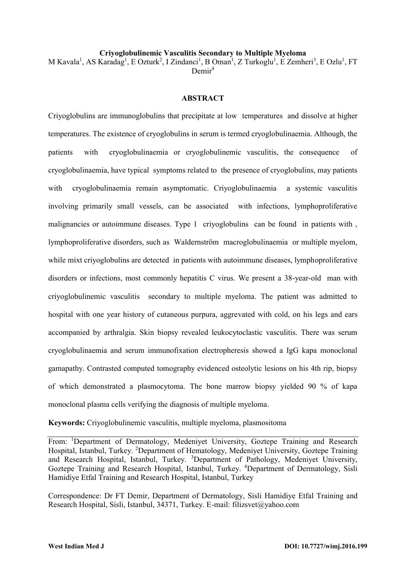### **Criyoglobulinemic Vasculitis Secondary to Multiple Myeloma**

M Kavala<sup>1</sup>, AS Karadag<sup>1</sup>, E Ozturk<sup>2</sup>, I Zindanci<sup>1</sup>, B Oman<sup>1</sup>, Z Turkoglu<sup>1</sup>, E Zemheri<sup>3</sup>, E Ozlu<sup>1</sup>, FT  $D$ emir<sup>4</sup>

### **ABSTRACT**

Criyoglobulins are immunoglobulins that precipitate at low temperatures and dissolve at higher temperatures. The existence of cryoglobulins in serum is termed cryoglobulinaemia. Although, the patients with cryoglobulinaemia or cryoglobulinemic vasculitis, the consequence of cryoglobulinaemia, have typical symptoms related to the presence of cryoglobulins, may patients with cryoglobulinaemia remain asymptomatic. Criyoglobulinaemia a systemic vasculitis involving primarily small vessels, can be associated with infections, lymphoproliferative malignancies or autoimmune diseases. Type 1 criyoglobulins can be found in patients with , lymphoproliferative disorders, such as Waldernström macroglobulinaemia or multiple myelom, while mixt criyoglobulins are detected in patients with autoimmune diseases, lymphoproliferative disorders or infections, most commonly hepatitis C virus. We present a 38-year-old man with criyoglobulinemic vasculitis secondary to multiple myeloma. The patient was admitted to hospital with one year history of cutaneous purpura, aggrevated with cold, on his legs and ears accompanied by arthralgia. Skin biopsy revealed leukocytoclastic vasculitis. There was serum cryoglobulinaemia and serum immunofixation electropheresis showed a IgG kapa monoclonal gamapathy. Contrasted computed tomography evidenced osteolytic lesions on his 4th rip, biopsy of which demonstrated a plasmocytoma. The bone marrow biopsy yielded 90 % of kapa monoclonal plasma cells verifying the diagnosis of multiple myeloma.

**Keywords:** Criyoglobulinemic vasculitis, multiple myeloma, plasmositoma

Correspondence: Dr FT Demir, Department of Dermatology, Sisli Hamidiye Etfal Training and Research Hospital, Sisli, Istanbul, 34371, Turkey. E-mail: [filizsvet@yahoo.com](mailto:filizsvet@yahoo.com)

From: <sup>1</sup>Department of Dermatology, Medeniyet University, Goztepe Training and Research Hospital, Istanbul, Turkey. <sup>2</sup>Department of Hematology, Medeniyet University, Goztepe Training and Research Hospital, Istanbul, Turkey. <sup>3</sup>Department of Pathology, Medeniyet University, Goztepe Training and Research Hospital, Istanbul, Turkey. <sup>4</sup>Department of Dermatology, Sisli Hamidiye Etfal Training and Research Hospital, Istanbul, Turkey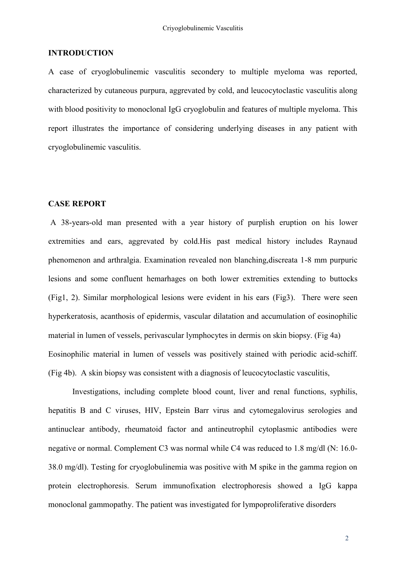## **INTRODUCTION**

A case of cryoglobulinemic vasculitis secondery to multiple myeloma was reported, characterized by cutaneous purpura, aggrevated by cold, and leucocytoclastic vasculitis along with blood positivity to monoclonal IgG cryoglobulin and features of multiple myeloma. This report illustrates the importance of considering underlying diseases in any patient with cryoglobulinemic vasculitis.

# **CASE REPORT**

A 38-years-old man presented with a year history of purplish eruption on his lower extremities and ears, aggrevated by cold.His past medical history includes Raynaud phenomenon and arthralgia. Examination revealed non blanching,discreata 1-8 mm purpuric lesions and some confluent hemarhages on both lower extremities extending to buttocks (Fig1, 2). Similar morphological lesions were evident in his ears (Fig3). There were seen hyperkeratosis, acanthosis of epidermis, vascular dilatation and accumulation of eosinophilic material in lumen of vessels, perivascular lymphocytes in dermis on skin biopsy. (Fig 4a) Eosinophilic material in lumen of vessels was positively stained with periodic acid-schiff. (Fig 4b). A skin biopsy was consistent with a diagnosis of leucocytoclastic vasculitis,

Investigations, including complete blood count, liver and renal functions, syphilis, hepatitis B and C viruses, HIV, Epstein Barr virus and cytomegalovirus serologies and antinuclear antibody, rheumatoid factor and antineutrophil cytoplasmic antibodies were negative or normal. Complement C3 was normal while C4 was reduced to 1.8 mg/dl (N: 16.0- 38.0 mg/dl). Testing for cryoglobulinemia was positive with M spike in the gamma region on protein electrophoresis. Serum immunofixation electrophoresis showed a IgG kappa monoclonal gammopathy. The patient was investigated for lympoproliferative disorders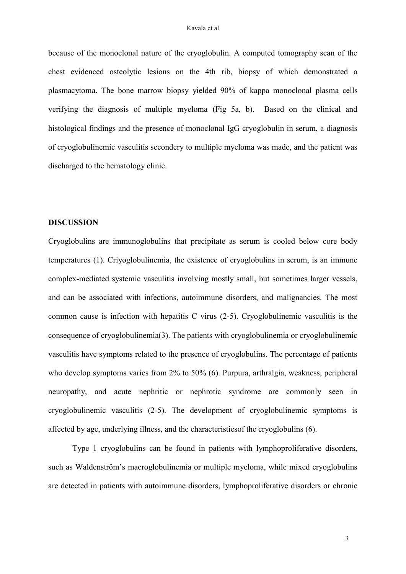#### Kavala et al

because of the monoclonal nature of the cryoglobulin. A computed tomography scan of the chest evidenced osteolytic lesions on the 4th rib, biopsy of which demonstrated a plasmacytoma. The bone marrow biopsy yielded 90% of kappa monoclonal plasma cells verifying the diagnosis of multiple myeloma (Fig 5a, b). Based on the clinical and histological findings and the presence of monoclonal IgG cryoglobulin in serum, a diagnosis of cryoglobulinemic vasculitis secondery to multiple myeloma was made, and the patient was discharged to the hematology clinic.

## **DISCUSSION**

Cryoglobulins are immunoglobulins that precipitate as serum is cooled below core body temperatures (1). Criyoglobulinemia, the existence of cryoglobulins in serum, is an immune complex-mediated systemic vasculitis involving mostly small, but sometimes larger vessels, and can be associated with infections, autoimmune disorders, and malignancies. The most common cause is infection with hepatitis C virus (2-5). Cryoglobulinemic vasculitis is the consequence of cryoglobulinemia(3). The patients with cryoglobulinemia or cryoglobulinemic vasculitis have symptoms related to the presence of cryoglobulins. The percentage of patients who develop symptoms varies from 2% to 50% (6). Purpura, arthralgia, weakness, peripheral neuropathy, and acute nephritic or nephrotic syndrome are commonly seen in cryoglobulinemic vasculitis (2-5). The development of cryoglobulinemic symptoms is affected by age, underlying illness, and the characteristiesof the cryoglobulins (6).

Type 1 cryoglobulins can be found in patients with lymphoproliferative disorders, such as Waldenström's macroglobulinemia or multiple myeloma, while mixed cryoglobulins are detected in patients with autoimmune disorders, lymphoproliferative disorders or chronic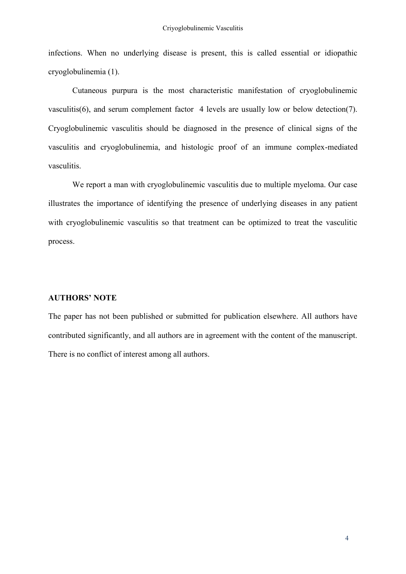infections. When no underlying disease is present, this is called essential or idiopathic cryoglobulinemia (1).

Cutaneous purpura is the most characteristic manifestation of cryoglobulinemic vasculitis(6), and serum complement factor 4 levels are usually low or below detection(7). Cryoglobulinemic vasculitis should be diagnosed in the presence of clinical signs of the vasculitis and cryoglobulinemia, and histologic proof of an immune complex-mediated vasculitis.

We report a man with cryoglobulinemic vasculitis due to multiple myeloma. Our case illustrates the importance of identifying the presence of underlying diseases in any patient with cryoglobulinemic vasculitis so that treatment can be optimized to treat the vasculitic process.

# **AUTHORS' NOTE**

The paper has not been published or submitted for publication elsewhere. All authors have contributed significantly, and all authors are in agreement with the content of the manuscript. There is no conflict of interest among all authors.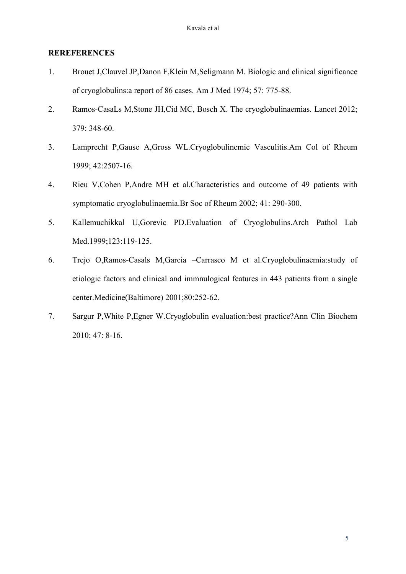# **REREFERENCES**

- 1. Brouet J,Clauvel JP,Danon F,Klein M,Seligmann M. Biologic and clinical significance of cryoglobulins:a report of 86 cases. Am J Med 1974; 57: 775-88.
- 2. Ramos-CasaLs M,Stone JH,Cid MC, Bosch X. The cryoglobulinaemias. Lancet 2012; 379: 348-60.
- 3. Lamprecht P,Gause A,Gross WL.Cryoglobulinemic Vasculitis.Am Col of Rheum 1999; 42:2507-16.
- 4. Rieu V,Cohen P,Andre MH et al.Characteristics and outcome of 49 patients with symptomatic cryoglobulinaemia.Br Soc of Rheum 2002; 41: 290-300.
- 5. Kallemuchikkal U,Gorevic PD.Evaluation of Cryoglobulins.Arch Pathol Lab Med.1999;123:119-125.
- 6. Trejo O,Ramos-Casals M,Garcia –Carrasco M et al.Cryoglobulinaemia:study of etiologic factors and clinical and immnulogical features in 443 patients from a single center.Medicine(Baltimore) 2001;80:252-62.
- 7. Sargur P,White P,Egner W.Cryoglobulin evaluation:best practice?Ann Clin Biochem 2010; 47: 8-16.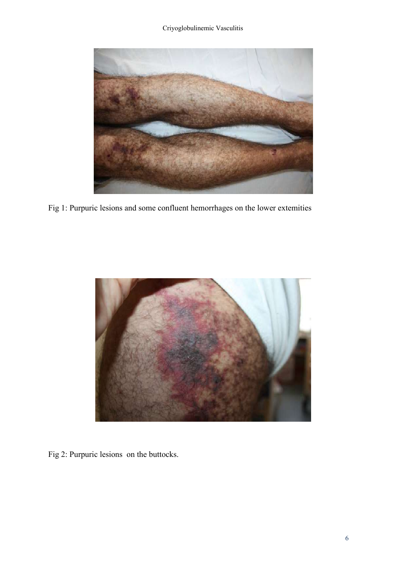Criyoglobulinemic Vasculitis



Fig 1: Purpuric lesions and some confluent hemorrhages on the lower extemities



Fig 2: Purpuric lesions on the buttocks.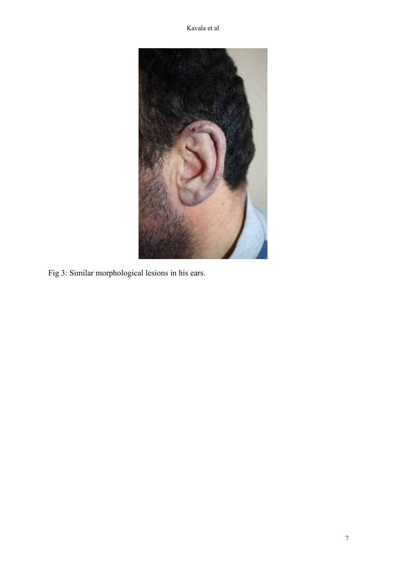

Fig 3: Similar morphological lesions in his ears.